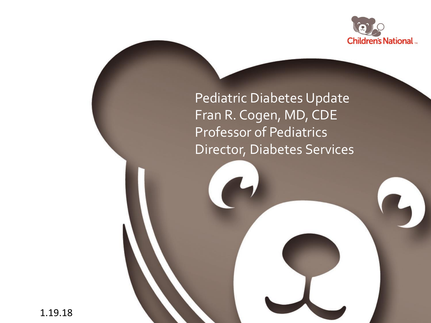

Pediatric Diabetes Update Fran R. Cogen, MD, CDE Professor of Pediatrics Director, Diabetes Services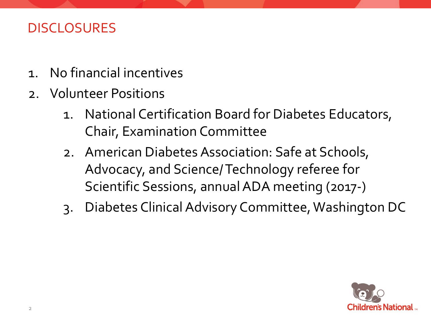### DISCLOSURES

- 1. No financial incentives
- 2. Volunteer Positions
	- 1. National Certification Board for Diabetes Educators, Chair, Examination Committee
	- 2. American Diabetes Association: Safe at Schools, Advocacy, and Science/ Technology referee for Scientific Sessions, annual ADA meeting (2017-)
	- 3. Diabetes Clinical Advisory Committee, Washington DC

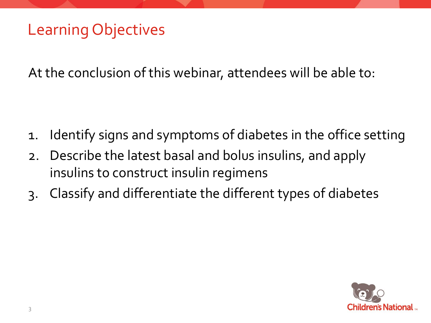## Learning Objectives

At the conclusion of this webinar, attendees will be able to:

- 1. Identify signs and symptoms of diabetes in the office setting
- 2. Describe the latest basal and bolus insulins, and apply insulins to construct insulin regimens
- 3. Classify and differentiate the different types of diabetes

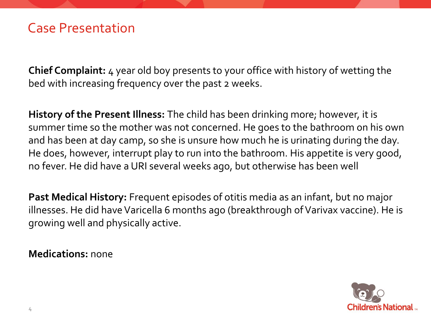**Chief Complaint:** 4 year old boy presents to your office with history of wetting the bed with increasing frequency over the past 2 weeks.

**History of the Present Illness:** The child has been drinking more; however, it is summer time so the mother was not concerned. He goes to the bathroom on his own and has been at day camp, so she is unsure how much he is urinating during the day. He does, however, interrupt play to run into the bathroom. His appetite is very good, no fever. He did have a URI several weeks ago, but otherwise has been well

**Past Medical History:** Frequent episodes of otitis media as an infant, but no major illnesses. He did have Varicella 6 months ago (breakthrough of Varivax vaccine). He is growing well and physically active.

**Medications:** none

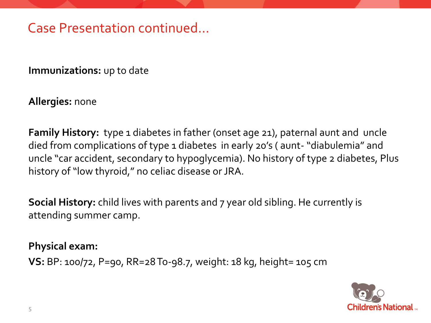## Case Presentation continued…

**Immunizations:** up to date

**Allergies:** none

**Family History:** type 1 diabetes in father (onset age 21), paternal aunt and uncle died from complications of type 1 diabetes in early 20's (aunt- "diabulemia" and uncle "car accident, secondary to hypoglycemia). No history of type 2 diabetes, Plus history of "low thyroid," no celiac disease or JRA.

**Social History:** child lives with parents and 7 year old sibling. He currently is attending summer camp.

**Physical exam:** 

**VS:** BP: 100/72, P=90, RR=28 To-98.7, weight: 18 kg, height= 105 cm

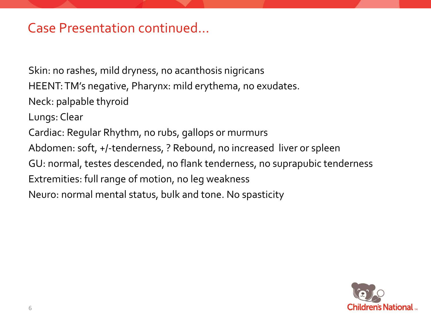### Case Presentation continued…

Skin: no rashes, mild dryness, no acanthosis nigricans

HEENT: TM's negative, Pharynx: mild erythema, no exudates.

Neck: palpable thyroid

Lungs: Clear

Cardiac: Regular Rhythm, no rubs, gallops or murmurs

Abdomen: soft, +/-tenderness, ? Rebound, no increased liver or spleen

GU: normal, testes descended, no flank tenderness, no suprapubic tenderness

Extremities: full range of motion, no leg weakness

Neuro: normal mental status, bulk and tone. No spasticity

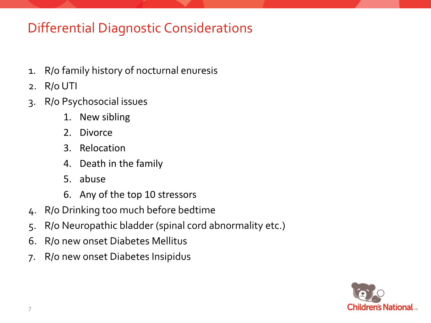## Differential Diagnostic Considerations

- 1. R/o family history of nocturnal enuresis
- 2. R/o UTI
- 3. R/o Psychosocial issues
	- 1. New sibling
	- 2. Divorce
	- 3. Relocation
	- 4. Death in the family
	- 5. abuse
	- 6. Any of the top 10 stressors
- 4. R/o Drinking too much before bedtime
- 5. R/o Neuropathic bladder (spinal cord abnormality etc.)
- 6. R/o new onset Diabetes Mellitus
- 7. R/o new onset Diabetes Insipidus

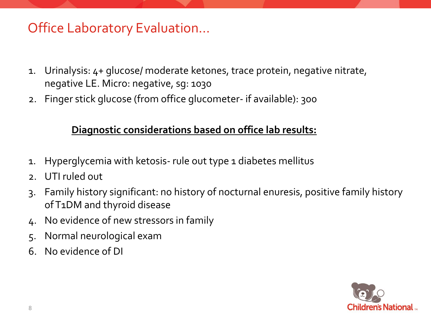## Office Laboratory Evaluation…

- 1. Urinalysis: 4+ glucose/ moderate ketones, trace protein, negative nitrate, negative LE. Micro: negative, sg: 1030
- 2. Finger stick glucose (from office glucometer- if available): 300

#### **Diagnostic considerations based on office lab results:**

- 1. Hyperglycemia with ketosis- rule out type 1 diabetes mellitus
- 2. UTI ruled out
- 3. Family history significant: no history of nocturnal enuresis, positive family history of T1DM and thyroid disease
- 4. No evidence of new stressors in family
- 5. Normal neurological exam
- 6. No evidence of DI

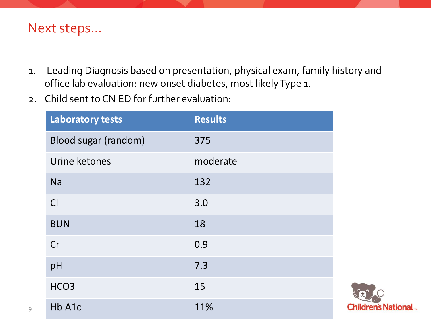#### Next steps…

- 1. Leading Diagnosis based on presentation, physical exam, family history and office lab evaluation: new onset diabetes, most likely Type 1.
- 2. Child sent to CN ED for further evaluation:

| <b>Laboratory tests</b> | <b>Results</b> |
|-------------------------|----------------|
| Blood sugar (random)    | 375            |
| Urine ketones           | moderate       |
| <b>Na</b>               | 132            |
| Cl                      | 3.0            |
| <b>BUN</b>              | 18             |
| Cr                      | 0.9            |
| pH                      | 7.3            |
| HCO <sub>3</sub>        | 15             |
| Hb A1c                  | 11%            |

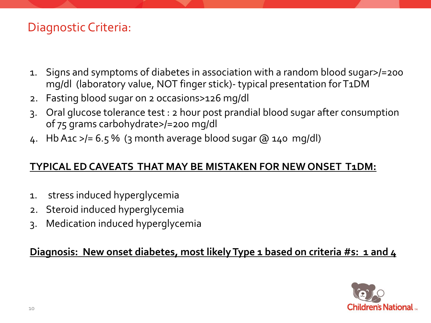#### Diagnostic Criteria:

- 1. Signs and symptoms of diabetes in association with a random blood sugar>/=200 mg/dl (laboratory value, NOT finger stick)- typical presentation for T1DM
- 2. Fasting blood sugar on 2 occasions>126 mg/dl
- 3. Oral glucose tolerance test : 2 hour post prandial blood sugar after consumption of 75 grams carbohydrate>/=200 mg/dl
- 4. Hb A1c  $>$ /= 6.5% (3 month average blood sugar  $\omega$  140 mg/dl)

#### **TYPICAL EDCAVEATS THAT MAY BE MISTAKEN FOR NEW ONSET T1DM:**

- 1. stress induced hyperglycemia
- 2. Steroid induced hyperglycemia
- 3. Medication induced hyperglycemia

#### **Diagnosis: New onset diabetes, most likely Type 1 based on criteria #s: 1 and 4**

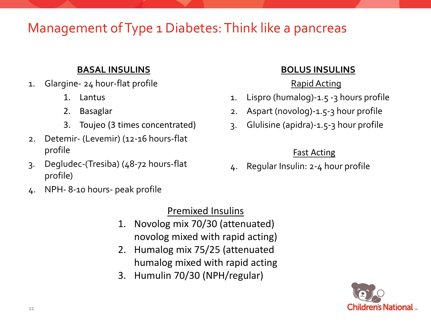## Management of Type 1 Diabetes: Think like a pancreas

#### **BASAL INSULINS**

- 1. Glargine- 24 hour-flat profile
	- 1. Lantus
	- 2. Basaglar
	- 3. Toujeo (3 times concentrated)
- 2. Detemir- (Levemir) (12-16 hours-flat profile
- 3. Degludec-(Tresiba) (48-72 hours-flat profile)
- 4. NPH- 8-10 hours- peak profile

#### Premixed Insulins

- 1. Novolog mix 70/30 (attenuated) novolog mixed with rapid acting)
- 2. Humalog mix 75/25 (attenuated humalog mixed with rapid acting
- 3. Humulin 70/30 (NPH/regular)

#### **BOLUS INSULINS**

#### Rapid Acting

- 1. Lispro (humalog)-1.5 -3 hours profile
- 2. Aspart (novolog)-1.5-3 hour profile
- 3. Glulisine (apidra)-1.5-3 hour profile

#### Fast Acting

4. Regular Insulin: 2-4 hour profile

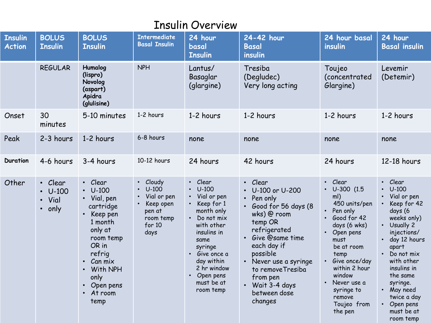| <b>Insulin</b><br><b>Action</b> | <b>BOLUS</b><br><b>Insulin</b>             | <b>BOLUS</b><br><b>Insulin</b>                                                                                                                                                                             | <b>Intermediate</b><br><b>Basal Insulin</b>                                              | 24 hour<br>basal<br><b>Insulin</b>                                                                                                                                                                                            | 24-42 hour<br><b>Basal</b><br>insulin                                                                                                                                                                                                                             | 24 hour basal<br>insulin                                                                                                                                                                                                                                                                   | 24 hour<br><b>Basal insulin</b>                                                                                                                                                                                                                                                                |
|---------------------------------|--------------------------------------------|------------------------------------------------------------------------------------------------------------------------------------------------------------------------------------------------------------|------------------------------------------------------------------------------------------|-------------------------------------------------------------------------------------------------------------------------------------------------------------------------------------------------------------------------------|-------------------------------------------------------------------------------------------------------------------------------------------------------------------------------------------------------------------------------------------------------------------|--------------------------------------------------------------------------------------------------------------------------------------------------------------------------------------------------------------------------------------------------------------------------------------------|------------------------------------------------------------------------------------------------------------------------------------------------------------------------------------------------------------------------------------------------------------------------------------------------|
|                                 | <b>REGULAR</b>                             | Humalog<br>(lispro)<br>Novolog<br>(aspart)<br>Apidra<br>(glulisine)                                                                                                                                        | <b>NPH</b>                                                                               | Lantus/<br>Basaglar<br>(glargine)                                                                                                                                                                                             | Tresiba<br>(Degludec)<br>Very long acting                                                                                                                                                                                                                         | Toujeo<br>(concentrated<br>Glargine)                                                                                                                                                                                                                                                       | Levemir<br>(Detemir)                                                                                                                                                                                                                                                                           |
| Onset                           | 30<br>minutes                              | 5-10 minutes                                                                                                                                                                                               | 1-2 hours                                                                                | 1-2 hours                                                                                                                                                                                                                     | 1-2 hours                                                                                                                                                                                                                                                         | 1-2 hours                                                                                                                                                                                                                                                                                  | 1-2 hours                                                                                                                                                                                                                                                                                      |
| Peak                            | 2-3 hours                                  | 1-2 hours                                                                                                                                                                                                  | 6-8 hours                                                                                | none                                                                                                                                                                                                                          | none                                                                                                                                                                                                                                                              | none                                                                                                                                                                                                                                                                                       | none                                                                                                                                                                                                                                                                                           |
| <b>Duration</b>                 | 4-6 hours                                  | 3-4 hours                                                                                                                                                                                                  | 10-12 hours                                                                              | 24 hours                                                                                                                                                                                                                      | 42 hours                                                                                                                                                                                                                                                          | 24 hours                                                                                                                                                                                                                                                                                   | 12-18 hours                                                                                                                                                                                                                                                                                    |
| Other                           | • Clear<br>$\cdot$ U-100<br>Vial<br>• only | • Clear<br>$U-100$<br>• Vial, pen<br>cartridge<br>Keep pen<br>$\bullet$<br>1 month<br>only at<br>room temp<br>OR in<br>refrig<br>$\cdot$ Can mix<br>• With NPH<br>only<br>• Open pens<br>• At room<br>temp | Cloudy<br>$U-100$<br>Vial or pen<br>Keep open<br>pen at<br>room temp<br>for $10$<br>days | • Clear<br>$\cdot$ U-100<br>• Vial or pen<br>Keep for 1<br>month only<br>• Do not mix<br>with other<br>insulins in<br>same<br>syringe<br>• Give once a<br>day within<br>2 hr window<br>• Open pens<br>must be at<br>room temp | · Clear<br>U-100 or U-200<br>• Pen only<br>· Good for 56 days (8<br>wks) @ room<br>temp OR<br>refrigerated<br>• Give @same time<br>each day if<br>possible<br>• Never use a syringe<br>to removeTresiba<br>from pen<br>• Wait 3-4 days<br>between dose<br>changes | Clear<br>$\bullet$<br>$\cdot$ U-300 (1.5<br>ml)<br>450 units/pen<br>• Pen only<br>Good for 42<br>$\bullet$<br>days (6 wks)<br>$\cdot$ Open pens<br>must<br>be at room<br>temp<br>Give once/day<br>within 2 hour<br>window<br>Never use a<br>syringe to<br>remove<br>Toujeo from<br>the pen | Clear<br>$\bullet$<br>$\cdot$ U-100<br>• Vial or pen<br>Keep for 42<br>days (6<br>weeks only)<br>• Usually 2<br>injections/<br>day 12 hours<br>apart<br>Do not mix<br>with other<br>insulins in<br>the same<br>syringe.<br>• May need<br>twice a day<br>• Open pens<br>must be at<br>room temp |

#### Insulin Overview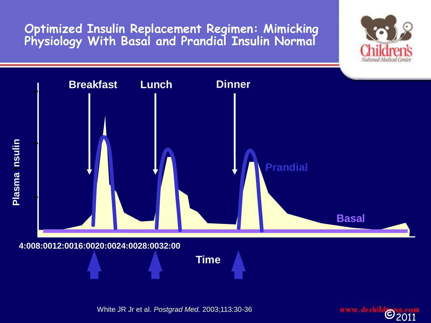**Optimized Insulin Replacement Regimen: Mimicking Physiology With Basal and Prandial Insulin Normal**



White JR Jr et al. *Postgrad Med.* 2003;113:30-36.

www.dechild ©2011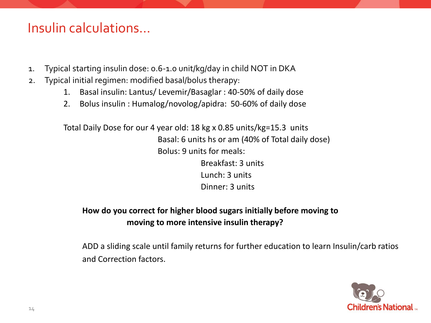#### Insulin calculations…

- 1. Typical starting insulin dose: 0.6-1.0 unit/kg/day in child NOT in DKA
- 2. Typical initial regimen: modified basal/bolus therapy:
	- 1. Basal insulin: Lantus/ Levemir/Basaglar : 40-50% of daily dose
	- 2. Bolus insulin : Humalog/novolog/apidra: 50-60% of daily dose

Total Daily Dose for our 4 year old: 18 kg x 0.85 units/kg=15.3 units Basal: 6 units hs or am (40% of Total daily dose) Bolus: 9 units for meals: Breakfast: 3 units Lunch: 3 units Dinner: 3 units

#### **How do you correct for higher blood sugars initially before moving to moving to more intensive insulin therapy?**

ADD a sliding scale until family returns for further education to learn Insulin/carb ratios and Correction factors.

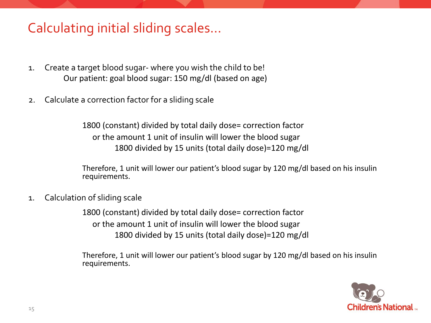## Calculating initial sliding scales…

- 1. Create a target blood sugar- where you wish the child to be! Our patient: goal blood sugar: 150 mg/dl (based on age)
- 2. Calculate a correction factor for a sliding scale

1800 (constant) divided by total daily dose= correction factor or the amount 1 unit of insulin will lower the blood sugar 1800 divided by 15 units (total daily dose)=120 mg/dl

Therefore, 1 unit will lower our patient's blood sugar by 120 mg/dl based on his insulin requirements.

1. Calculation of sliding scale

1800 (constant) divided by total daily dose= correction factor or the amount 1 unit of insulin will lower the blood sugar 1800 divided by 15 units (total daily dose)=120 mg/dl

Therefore, 1 unit will lower our patient's blood sugar by 120 mg/dl based on his insulin requirements.

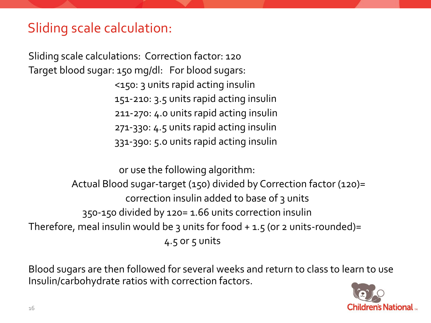## Sliding scale calculation:

Sliding scale calculations: Correction factor: 120 Target blood sugar: 150 mg/dl: For blood sugars: <150: 3 units rapid acting insulin 151-210: 3.5 units rapid acting insulin 211-270: 4.0 units rapid acting insulin 271-330: 4.5 units rapid acting insulin 331-390: 5.0 units rapid acting insulin

 or use the following algorithm: Actual Blood sugar-target (150) divided by Correction factor (120)= correction insulin added to base of 3 units 350-150 divided by 120= 1.66 units correction insulin Therefore, meal insulin would be 3 units for food  $+$  1.5 (or 2 units-rounded)=  $4.5$  or  $5$  units

Blood sugars are then followed for several weeks and return to class to learn to use Insulin/carbohydrate ratios with correction factors.

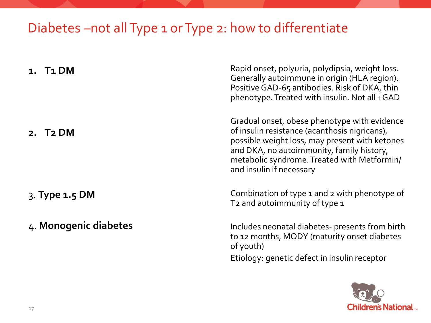## Diabetes –not all Type 1 or Type 2: how to differentiate

| T1 DM                 | Rapid onset, polyuria, polydipsia, weight loss.<br>Generally autoimmune in origin (HLA region).<br>Positive GAD-65 antibodies. Risk of DKA, thin<br>phenotype. Treated with insulin. Not all +GAD                                                                       |
|-----------------------|-------------------------------------------------------------------------------------------------------------------------------------------------------------------------------------------------------------------------------------------------------------------------|
| 2. T <sub>2</sub> DM  | Gradual onset, obese phenotype with evidence<br>of insulin resistance (acanthosis nigricans),<br>possible weight loss, may present with ketones<br>and DKA, no autoimmunity, family history,<br>metabolic syndrome. Treated with Metformin/<br>and insulin if necessary |
| $3.$ Type $1.5$ DM    | Combination of type 1 and 2 with phenotype of<br>T <sub>2</sub> and autoimmunity of type 1                                                                                                                                                                              |
| 4. Monogenic diabetes | Includes neonatal diabetes- presents from birth<br>to 12 months, MODY (maturity onset diabetes<br>of youth)<br>Etiology: genetic defect in insulin receptor                                                                                                             |

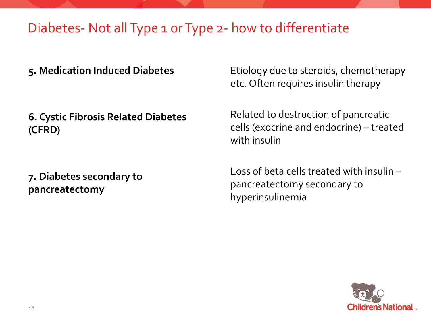## Diabetes- Not all Type 1 or Type 2- how to differentiate

**5. Medication Induced Diabetes**

**6. Cystic Fibrosis Related Diabetes (CFRD)**

**7. Diabetes secondary to pancreatectomy**

Etiology due to steroids, chemotherapy etc. Often requires insulin therapy

Related to destruction of pancreatic cells (exocrine and endocrine) – treated with insulin

Loss of beta cells treated with insulin – pancreatectomy secondary to hyperinsulinemia

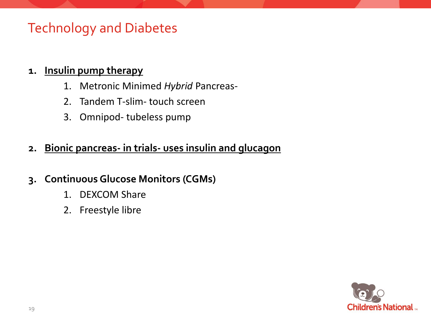## Technology and Diabetes

#### **1. Insulin pump therapy**

- 1. Metronic Minimed *Hybrid* Pancreas-
- 2. Tandem T-slim- touch screen
- 3. Omnipod- tubeless pump

#### **2. Bionic pancreas- in trials- uses insulin and glucagon**

#### **3. Continuous Glucose Monitors (CGMs)**

- 1. DEXCOM Share
- 2. Freestyle libre

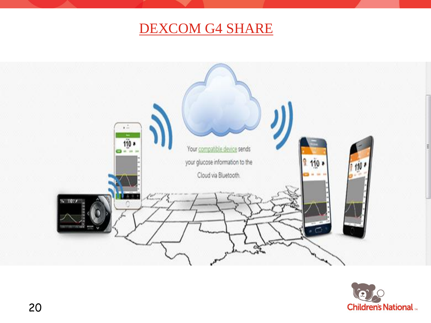## DEXCOM G4 SHARE



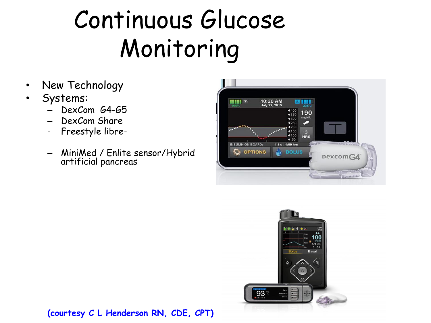## Continuous Glucose Monitoring

- New Technology
- Systems:
	- DexCom G4-G5
	- DexCom Share
	- Freestyle libre-
	- MiniMed / Enlite sensor/Hybrid artificial pancreas





(courtesy C L Henderson RN, CDE, CPT)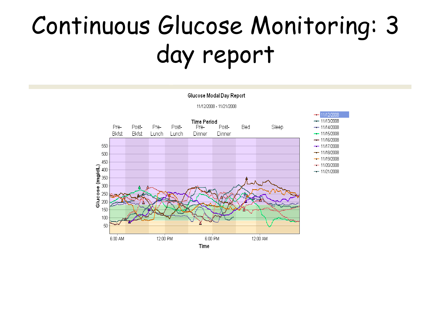## Continuous Glucose Monitoring: 3 day report